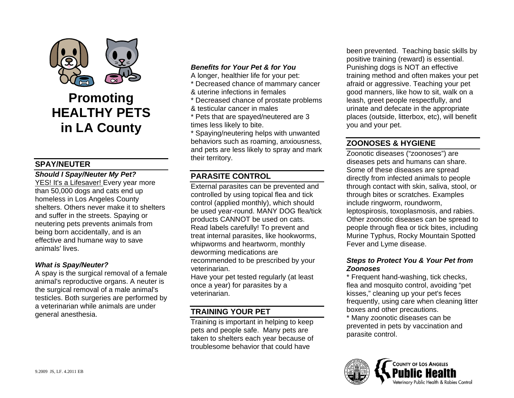

# **Promoting HEALTHY PETS in LA County**

## **SPAY/NEUTER**

*Should I Spay/Neuter My Pet?*  YES! It's a Lifesaver! Every year more than 50,000 dogs and cats end up

homeless in Los Angeles County shelters. Others never make it to shelters and suffer in the streets. Spaying or neutering pets prevents animals from being born accidentally, and is an effective and humane way to save animals' lives.

## *What is Spay/Neuter?*

A spay is the surgical removal of a female animal's reproductive organs. A neuter is the surgical removal of a male animal's testicles. Both surgeries are performed by a veterinarian while animals are under general anesthesia.

#### *Benefits for Your Pet & for You*

A longer, healthier life for your pet:

- \* Decreased chance of mammary cancer
- & uterine infections in females

\* Decreased chance of prostate problems & testicular cancer in males

\* Pets that are spayed/neutered are 3 times less likely to bite.

\* Spaying/neutering helps with unwanted behaviors such as roaming, anxiousness, and pets are less likely to spray and mark their territory.

# **PARASITE CONTROL**

External parasites can be prevented and controlled by using topical flea and tick control (applied monthly), which should be used year-round. MANY DOG flea/tick products CANNOT be used on cats. Read labels carefully! To prevent and treat internal parasites, like hookworms, whipworms and heartworm, monthly deworming medications are recommended to be prescribed by your veterinarian.

Have your pet tested regularly (at least once a year) for parasites by a veterinarian.

## **TRAINING YOUR PET**

Training is important in helping to keep pets and people safe. Many pets are taken to shelters each year because of troublesome behavior that could have

been prevented. Teaching basic skills by positive training (reward) is essential. Punishing dogs is NOT an effective training method and often makes your pet afraid or aggressive. Teaching your pet good manners, like how to sit, walk on a leash, greet people respectfully, and urinate and defecate in the appropriate places (outside, litterbox, etc), will benefit you and your pet.

# **ZOONOSES & HYGIENE**

Zoonotic diseases ("zoonoses") are diseases pets and humans can share. Some of these diseases are spread directly from infected animals to people through contact with skin, saliva, stool, or through bites or scratches. Examples include ringworm, roundworm, leptospirosis, toxoplasmosis, and rabies. Other zoonotic diseases can be spread to people through flea or tick bites, including Murine Typhus, Rocky Mountain Spotted Fever and Lyme disease.

#### *Steps to Protect You & Your Pet from Zoonoses*

\* Frequent hand-washing, tick checks, flea and mosquito control, avoiding "pet kisses," cleaning up your pet's feces frequently, using care when cleaning litter boxes and other precautions.

\* Many zoonotic diseases can be prevented in pets by vaccination and parasite control.